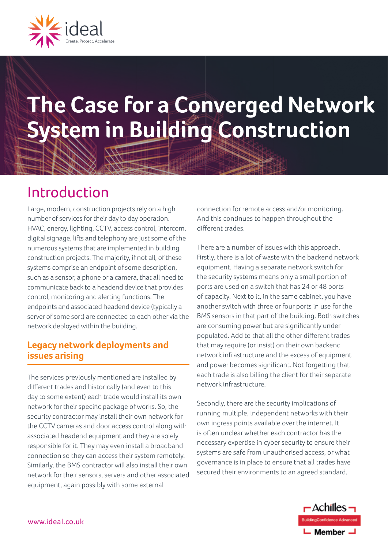

# **The Case for a Converged Network System in Building Construction**

## Introduction

Large, modern, construction projects rely on a high number of services for their day to day operation. HVAC, energy, lighting, CCTV, access control, intercom, digital signage, lifts and telephony are just some of the numerous systems that are implemented in building construction projects. The majority, if not all, of these systems comprise an endpoint of some description, such as a sensor, a phone or a camera, that all need to communicate back to a headend device that provides control, monitoring and alerting functions. The endpoints and associated headend device (typically a server of some sort) are connected to each other via the network deployed within the building.

#### **Legacy network deployments and issues arising**

The services previously mentioned are installed by different trades and historically (and even to this day to some extent) each trade would install its own network for their specific package of works. So, the security contractor may install their own network for the CCTV cameras and door access control along with associated headend equipment and they are solely responsible for it. They may even install a broadband connection so they can access their system remotely. Similarly, the BMS contractor will also install their own network for their sensors, servers and other associated equipment, again possibly with some external

connection for remote access and/or monitoring. And this continues to happen throughout the different trades.

There are a number of issues with this approach. Firstly, there is a lot of waste with the backend network equipment. Having a separate network switch for the security systems means only a small portion of ports are used on a switch that has 24 or 48 ports of capacity. Next to it, in the same cabinet, you have another switch with three or four ports in use for the BMS sensors in that part of the building. Both switches are consuming power but are significantly under populated. Add to that all the other different trades that may require (or insist) on their own backend network infrastructure and the excess of equipment and power becomes significant. Not forgetting that each trade is also billing the client for their separate network infrastructure.

Secondly, there are the security implications of running multiple, independent networks with their own ingress points available over the internet. It is often unclear whether each contractor has the necessary expertise in cyber security to ensure their systems are safe from unauthorised access, or what governance is in place to ensure that all trades have secured their environments to an agreed standard.

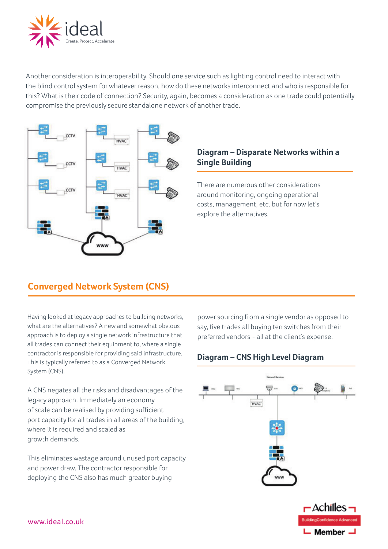

Another consideration is interoperability. Should one service such as lighting control need to interact with the blind control system for whatever reason, how do these networks interconnect and who is responsible for this? What is their code of connection? Security, again, becomes a consideration as one trade could potentially compromise the previously secure standalone network of another trade.



#### **Diagram – Disparate Networks within a Single Building**

There are numerous other considerations around monitoring, ongoing operational costs, management, etc. but for now let's explore the alternatives.

### **Converged Network System (CNS)**

Having looked at legacy approaches to building networks, what are the alternatives? A new and somewhat obvious approach is to deploy a single network infrastructure that all trades can connect their equipment to, where a single contractor is responsible for providing said infrastructure. This is typically referred to as a Converged Network System (CNS).

A CNS negates all the risks and disadvantages of the legacy approach. Immediately an economy of scale can be realised by providing sufficient port capacity for all trades in all areas of the building, where it is required and scaled as growth demands.

This eliminates wastage around unused port capacity and power draw. The contractor responsible for deploying the CNS also has much greater buying

power sourcing from a single vendor as opposed to say, five trades all buying ten switches from their preferred vendors - all at the client's expense.

#### **Diagram – CNS High Level Diagram**